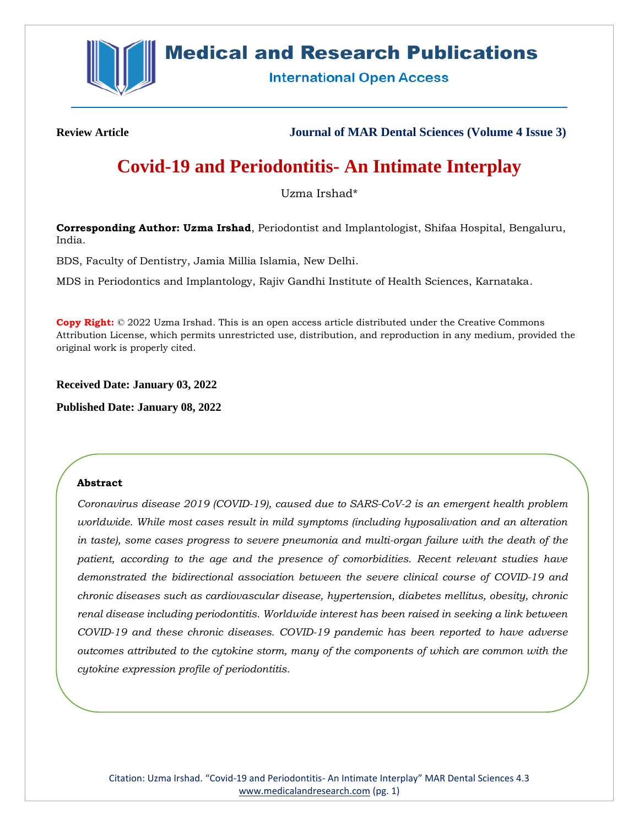

# **Medical and Research Publications**

**International Open Access** 

**Review Article Journal of MAR Dental Sciences (Volume 4 Issue 3)**

# **Covid-19 and Periodontitis- An Intimate Interplay**

Uzma Irshad\*

**Corresponding Author: Uzma Irshad**, Periodontist and Implantologist, Shifaa Hospital, Bengaluru, India.

BDS, Faculty of Dentistry, Jamia Millia Islamia, New Delhi.

MDS in Periodontics and Implantology, Rajiv Gandhi Institute of Health Sciences, Karnataka.

**Copy Right:** © 2022 Uzma Irshad. This is an open access article distributed under the Creative Commons Attribution License, which permits unrestricted use, distribution, and reproduction in any medium, provided the original work is properly cited.

**Received Date: January 03, 2022**

**Published Date: January 08, 2022**

## **Abstract**

*Coronavirus disease 2019 (COVID-19), caused due to SARS-CoV-2 is an emergent health problem worldwide. While most cases result in mild symptoms (including hyposalivation and an alteration in taste), some cases progress to severe pneumonia and multi-organ failure with the death of the patient, according to the age and the presence of comorbidities. Recent relevant studies have demonstrated the bidirectional association between the severe clinical course of COVID-19 and chronic diseases such as cardiovascular disease, hypertension, diabetes mellitus, obesity, chronic renal disease including periodontitis. Worldwide interest has been raised in seeking a link between COVID-19 and these chronic diseases. COVID-19 pandemic has been reported to have adverse outcomes attributed to the cytokine storm, many of the components of which are common with the cytokine expression profile of periodontitis.*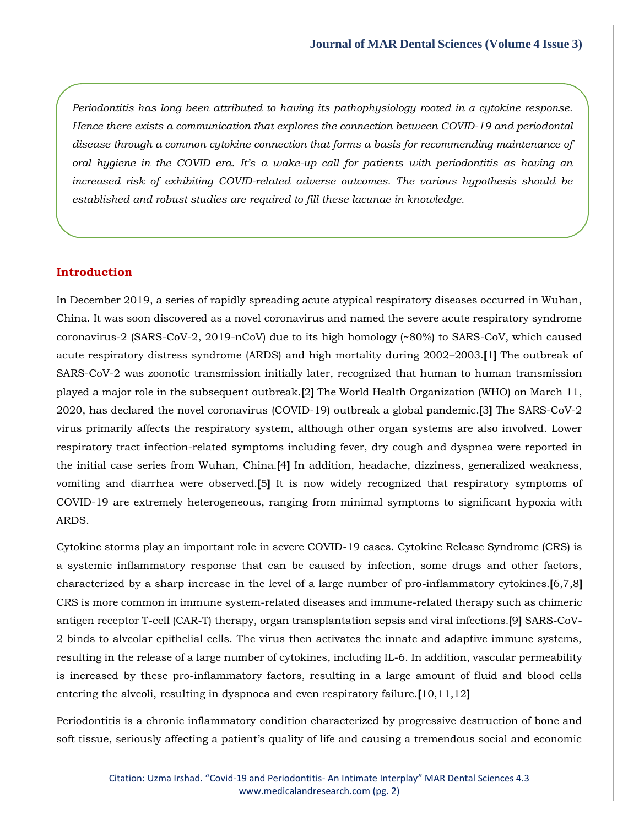*Periodontitis has long been attributed to having its pathophysiology rooted in a cytokine response. Hence there exists a communication that explores the connection between COVID-19 and periodontal disease through a common cytokine connection that forms a basis for recommending maintenance of oral hygiene in the COVID era. It's a wake-up call for patients with periodontitis as having an increased risk of exhibiting COVID-related adverse outcomes. The various hypothesis should be established and robust studies are required to fill these lacunae in knowledge.*

# **Introduction**

In December 2019, a series of rapidly spreading acute atypical respiratory diseases occurred in Wuhan, China. It was soon discovered as a novel coronavirus and named the severe acute respiratory syndrome coronavirus-2 (SARS-CoV-2, 2019-nCoV) due to its high homology (~80%) to SARS-CoV, which caused acute respiratory distress syndrome (ARDS) and high mortality during 2002–2003.**[**1**]** The outbreak of SARS-CoV-2 was zoonotic transmission initially later, recognized that human to human transmission played a major role in the subsequent outbreak.**[**2**]** The World Health Organization (WHO) on March 11, 2020, has declared the novel coronavirus (COVID-19) outbreak a global pandemic.**[**3**]** The SARS-CoV-2 virus primarily affects the respiratory system, although other organ systems are also involved. Lower respiratory tract infection-related symptoms including fever, dry cough and dyspnea were reported in the initial case series from Wuhan, China.**[**4**]** In addition, headache, dizziness, generalized weakness, vomiting and diarrhea were observed.**[**5**]** It is now widely recognized that respiratory symptoms of COVID-19 are extremely heterogeneous, ranging from minimal symptoms to significant hypoxia with ARDS.

Cytokine storms play an important role in severe COVID-19 cases. Cytokine Release Syndrome (CRS) is a systemic inflammatory response that can be caused by infection, some drugs and other factors, characterized by a sharp increase in the level of a large number of pro-inflammatory cytokines.**[**6,7,8**]** CRS is more common in immune system-related diseases and immune-related therapy such as chimeric antigen receptor T-cell (CAR-T) therapy, organ transplantation sepsis and viral infections.**[**9**]** SARS-CoV-2 binds to alveolar epithelial cells. The virus then activates the innate and adaptive immune systems, resulting in the release of a large number of cytokines, including IL-6. In addition, vascular permeability is increased by these pro-inflammatory factors, resulting in a large amount of fluid and blood cells entering the alveoli, resulting in dyspnoea and even respiratory failure.**[**10,11,12**]**

Periodontitis is a chronic inflammatory condition characterized by progressive destruction of bone and soft tissue, seriously affecting a patient's quality of life and causing a tremendous social and economic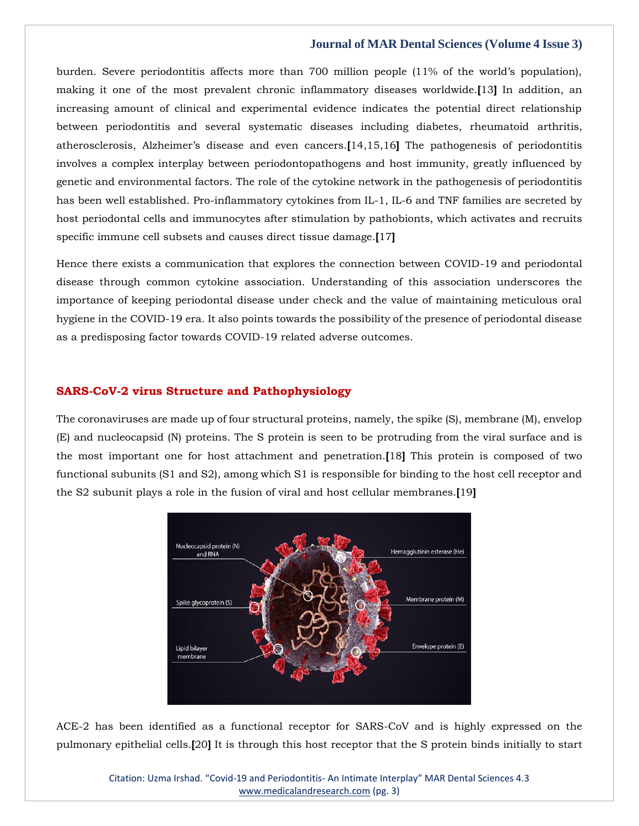burden. Severe periodontitis affects more than 700 million people (11% of the world's population), making it one of the most prevalent chronic inflammatory diseases worldwide.**[**13**]** In addition, an increasing amount of clinical and experimental evidence indicates the potential direct relationship between periodontitis and several systematic diseases including diabetes, rheumatoid arthritis, atherosclerosis, Alzheimer's disease and even cancers.**[**14,15,16**]** The pathogenesis of periodontitis involves a complex interplay between periodontopathogens and host immunity, greatly influenced by genetic and environmental factors. The role of the cytokine network in the pathogenesis of periodontitis has been well established. Pro-inflammatory cytokines from IL-1, IL-6 and TNF families are secreted by host periodontal cells and immunocytes after stimulation by pathobionts, which activates and recruits specific immune cell subsets and causes direct tissue damage.**[**17**]**

Hence there exists a communication that explores the connection between COVID-19 and periodontal disease through common cytokine association. Understanding of this association underscores the importance of keeping periodontal disease under check and the value of maintaining meticulous oral hygiene in the COVID-19 era. It also points towards the possibility of the presence of periodontal disease as a predisposing factor towards COVID-19 related adverse outcomes.

## **SARS-CoV-2 virus Structure and Pathophysiology**

The coronaviruses are made up of four structural proteins, namely, the spike (S), membrane (M), envelop (E) and nucleocapsid (N) proteins. The S protein is seen to be protruding from the viral surface and is the most important one for host attachment and penetration.**[**18**]** This protein is composed of two functional subunits (S1 and S2), among which S1 is responsible for binding to the host cell receptor and the S2 subunit plays a role in the fusion of viral and host cellular membranes.**[**19**]**



ACE-2 has been identified as a functional receptor for SARS-CoV and is highly expressed on the pulmonary epithelial cells.**[**20**]** It is through this host receptor that the S protein binds initially to start

> Citation: Uzma Irshad. "Covid-19 and Periodontitis- An Intimate Interplay" MAR Dental Sciences 4.3 [www.medicalandresearch.com](http://www.medicalandresearch.com/) (pg. 3)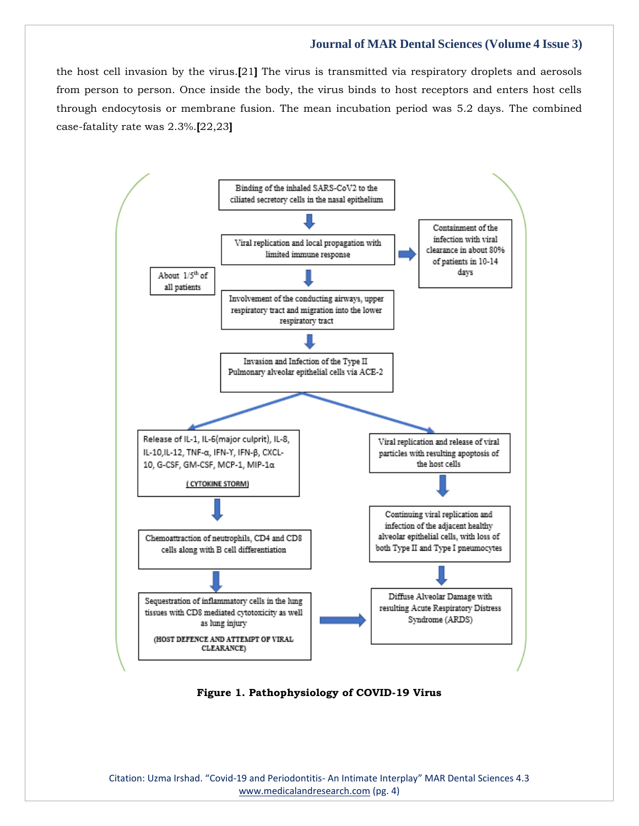the host cell invasion by the virus.**[**21**]** The virus is transmitted via respiratory droplets and aerosols from person to person. Once inside the body, the virus binds to host receptors and enters host cells through endocytosis or membrane fusion. The mean incubation period was 5.2 days. The combined case-fatality rate was 2.3%.**[**22,23**]**



**Figure 1. Pathophysiology of COVID-19 Virus**

Citation: Uzma Irshad. "Covid-19 and Periodontitis- An Intimate Interplay" MAR Dental Sciences 4.3 [www.medicalandresearch.com](http://www.medicalandresearch.com/) (pg. 4)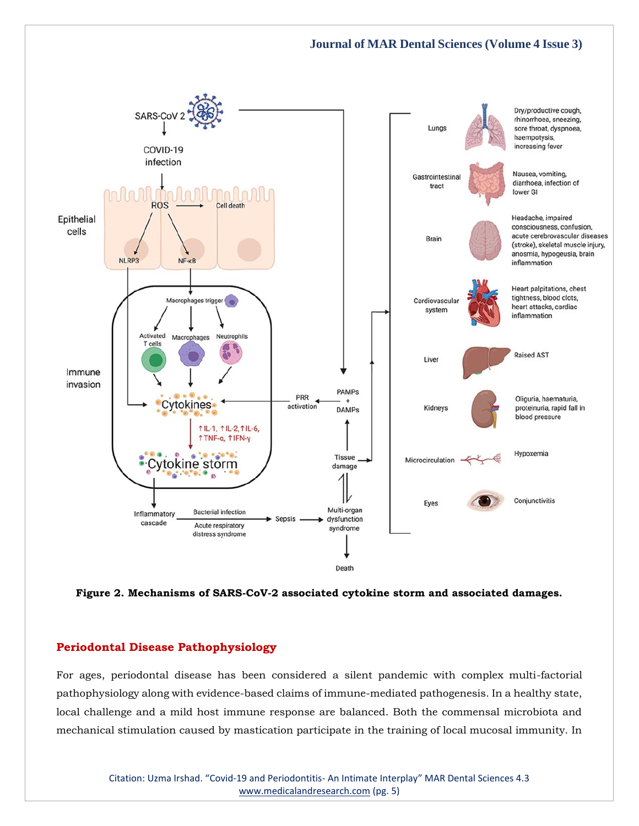

**Figure 2. Mechanisms of SARS-CoV-2 associated cytokine storm and associated damages.**

## **Periodontal Disease Pathophysiology**

For ages, periodontal disease has been considered a silent pandemic with complex multi-factorial pathophysiology along with evidence-based claims of immune-mediated pathogenesis. In a healthy state, local challenge and a mild host immune response are balanced. Both the commensal microbiota and mechanical stimulation caused by mastication participate in the training of local mucosal immunity. In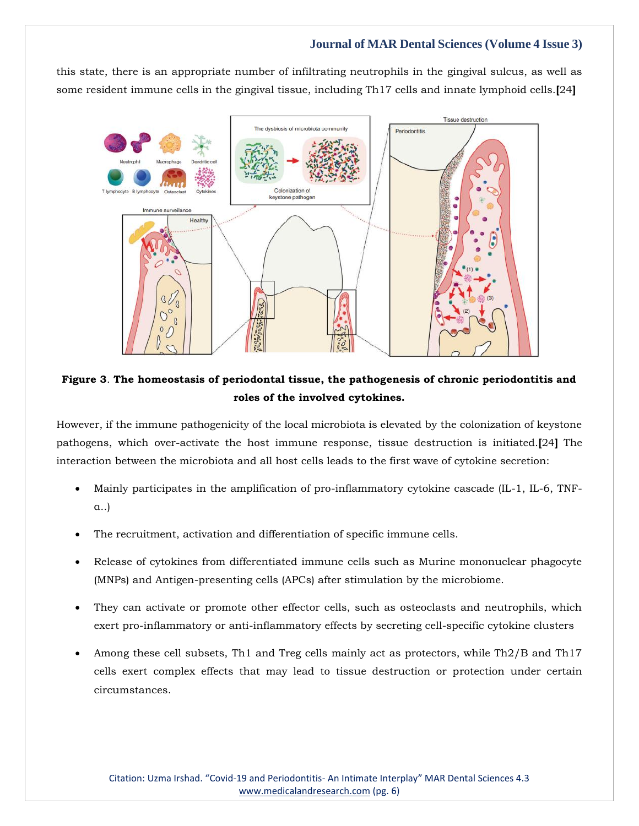this state, there is an appropriate number of infiltrating neutrophils in the gingival sulcus, as well as some resident immune cells in the gingival tissue, including Th17 cells and innate lymphoid cells.**[**24**]**



# **Figure 3**. **The homeostasis of periodontal tissue, the pathogenesis of chronic periodontitis and roles of the involved cytokines.**

However, if the immune pathogenicity of the local microbiota is elevated by the colonization of keystone pathogens, which over-activate the host immune response, tissue destruction is initiated.**[**24**]** The interaction between the microbiota and all host cells leads to the first wave of cytokine secretion:

- Mainly participates in the amplification of pro-inflammatory cytokine cascade (IL-1, IL-6, TNFα..)
- The recruitment, activation and differentiation of specific immune cells.
- Release of cytokines from differentiated immune cells such as Murine mononuclear phagocyte (MNPs) and Antigen-presenting cells (APCs) after stimulation by the microbiome.
- They can activate or promote other effector cells, such as osteoclasts and neutrophils, which exert pro-inflammatory or anti-inflammatory effects by secreting cell-specific cytokine clusters
- Among these cell subsets, Th1 and Treg cells mainly act as protectors, while Th2/B and Th17 cells exert complex effects that may lead to tissue destruction or protection under certain circumstances.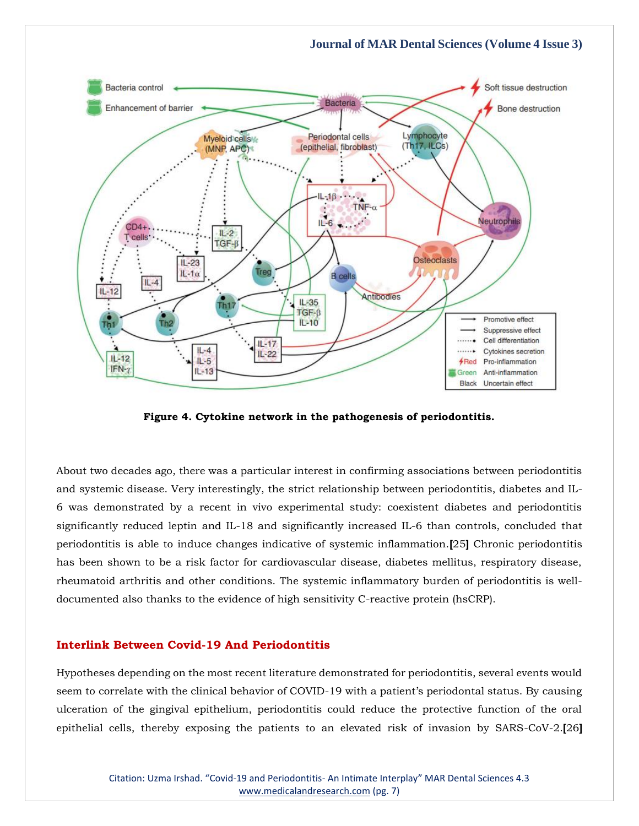

**Figure 4. Cytokine network in the pathogenesis of periodontitis.**

About two decades ago, there was a particular interest in confirming associations between periodontitis and systemic disease. Very interestingly, the strict relationship between periodontitis, diabetes and IL-6 was demonstrated by a recent in vivo experimental study: coexistent diabetes and periodontitis significantly reduced leptin and IL-18 and significantly increased IL-6 than controls, concluded that periodontitis is able to induce changes indicative of systemic inflammation.**[**25**]** Chronic periodontitis has been shown to be a risk factor for cardiovascular disease, diabetes mellitus, respiratory disease, rheumatoid arthritis and other conditions. The systemic inflammatory burden of periodontitis is welldocumented also thanks to the evidence of high sensitivity C-reactive protein (hsCRP).

# **Interlink Between Covid-19 And Periodontitis**

Hypotheses depending on the most recent literature demonstrated for periodontitis, several events would seem to correlate with the clinical behavior of COVID-19 with a patient's periodontal status. By causing ulceration of the gingival epithelium, periodontitis could reduce the protective function of the oral epithelial cells, thereby exposing the patients to an elevated risk of invasion by SARS-CoV-2.**[**26**]**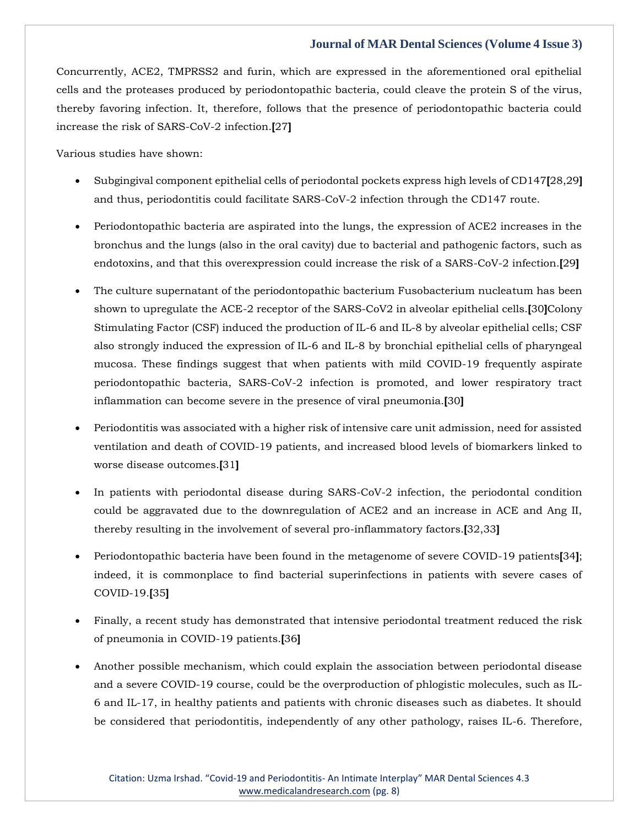Concurrently, ACE2, TMPRSS2 and furin, which are expressed in the aforementioned oral epithelial cells and the proteases produced by periodontopathic bacteria, could cleave the protein S of the virus, thereby favoring infection. It, therefore, follows that the presence of periodontopathic bacteria could increase the risk of SARS-CoV-2 infection.**[**27**]**

Various studies have shown:

- Subgingival component epithelial cells of periodontal pockets express high levels of CD147**[**28,29**]** and thus, periodontitis could facilitate SARS-CoV-2 infection through the CD147 route.
- Periodontopathic bacteria are aspirated into the lungs, the expression of ACE2 increases in the bronchus and the lungs (also in the oral cavity) due to bacterial and pathogenic factors, such as endotoxins, and that this overexpression could increase the risk of a SARS-CoV-2 infection.**[**29**]**
- The culture supernatant of the periodontopathic bacterium Fusobacterium nucleatum has been shown to upregulate the ACE-2 receptor of the SARS-CoV2 in alveolar epithelial cells.**[**30**]**Colony Stimulating Factor (CSF) induced the production of IL-6 and IL-8 by alveolar epithelial cells; CSF also strongly induced the expression of IL-6 and IL-8 by bronchial epithelial cells of pharyngeal mucosa. These findings suggest that when patients with mild COVID-19 frequently aspirate periodontopathic bacteria, SARS-CoV-2 infection is promoted, and lower respiratory tract inflammation can become severe in the presence of viral pneumonia.**[**30**]**
- Periodontitis was associated with a higher risk of intensive care unit admission, need for assisted ventilation and death of COVID-19 patients, and increased blood levels of biomarkers linked to worse disease outcomes.**[**31**]**
- In patients with periodontal disease during SARS-CoV-2 infection, the periodontal condition could be aggravated due to the downregulation of ACE2 and an increase in ACE and Ang II, thereby resulting in the involvement of several pro-inflammatory factors.**[**32,33**]**
- Periodontopathic bacteria have been found in the metagenome of severe COVID-19 patients**[**34**]**; indeed, it is commonplace to find bacterial superinfections in patients with severe cases of COVID-19.**[**35**]**
- Finally, a recent study has demonstrated that intensive periodontal treatment reduced the risk of pneumonia in COVID-19 patients.**[**36**]**
- Another possible mechanism, which could explain the association between periodontal disease and a severe COVID-19 course, could be the overproduction of phlogistic molecules, such as IL-6 and IL-17, in healthy patients and patients with chronic diseases such as diabetes. It should be considered that periodontitis, independently of any other pathology, raises IL-6. Therefore,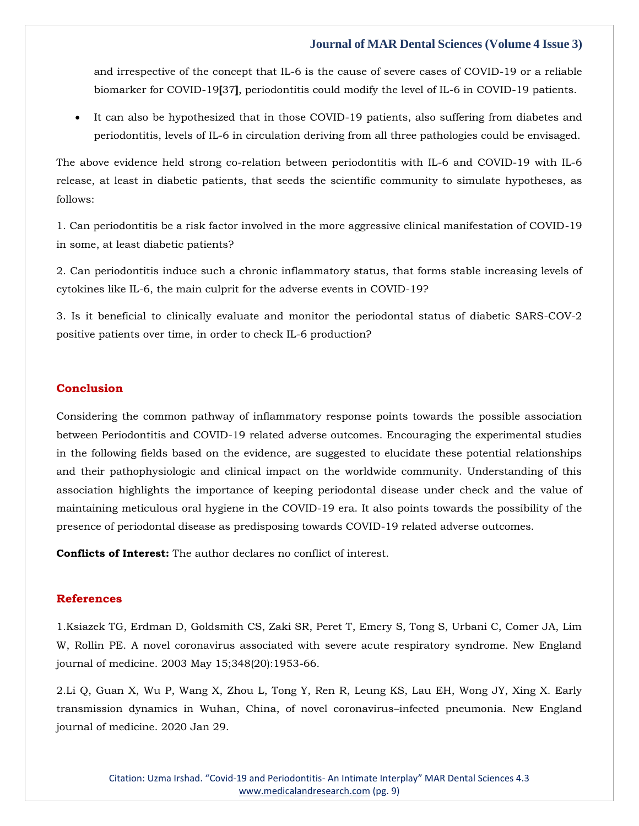and irrespective of the concept that IL-6 is the cause of severe cases of COVID-19 or a reliable biomarker for COVID-19**[**37**]**, periodontitis could modify the level of IL-6 in COVID-19 patients.

• It can also be hypothesized that in those COVID-19 patients, also suffering from diabetes and periodontitis, levels of IL-6 in circulation deriving from all three pathologies could be envisaged.

The above evidence held strong co-relation between periodontitis with IL-6 and COVID-19 with IL-6 release, at least in diabetic patients, that seeds the scientific community to simulate hypotheses, as follows:

1. Can periodontitis be a risk factor involved in the more aggressive clinical manifestation of COVID-19 in some, at least diabetic patients?

2. Can periodontitis induce such a chronic inflammatory status, that forms stable increasing levels of cytokines like IL-6, the main culprit for the adverse events in COVID-19?

3. Is it beneficial to clinically evaluate and monitor the periodontal status of diabetic SARS-COV-2 positive patients over time, in order to check IL-6 production?

# **Conclusion**

Considering the common pathway of inflammatory response points towards the possible association between Periodontitis and COVID-19 related adverse outcomes. Encouraging the experimental studies in the following fields based on the evidence, are suggested to elucidate these potential relationships and their pathophysiologic and clinical impact on the worldwide community. Understanding of this association highlights the importance of keeping periodontal disease under check and the value of maintaining meticulous oral hygiene in the COVID-19 era. It also points towards the possibility of the presence of periodontal disease as predisposing towards COVID-19 related adverse outcomes.

**Conflicts of Interest:** The author declares no conflict of interest.

## **References**

1[.Ksiazek TG, Erdman D, Goldsmith CS, Zaki SR, Peret T, Emery S, Tong S, Urbani C, Comer JA, Lim](https://www.google.com/search?q=A+novel+coronavirus+associated+with+severe+acute+respiratory+syndrome.+New+England+journal+of+medicine&oq=A+novel+coronavirus+associated+with+severe+acute+respiratory+syndrome.+New+England+journal+of+medicine&aqs=chrome..69i57.390j0j7&sourceid=chrome&ie=UTF-8)  [W, Rollin PE. A novel coronavirus associated with severe acute respiratory syndrome. New England](https://www.google.com/search?q=A+novel+coronavirus+associated+with+severe+acute+respiratory+syndrome.+New+England+journal+of+medicine&oq=A+novel+coronavirus+associated+with+severe+acute+respiratory+syndrome.+New+England+journal+of+medicine&aqs=chrome..69i57.390j0j7&sourceid=chrome&ie=UTF-8)  [journal of medicine. 2003 May 15;348\(20\):1953-66.](https://www.google.com/search?q=A+novel+coronavirus+associated+with+severe+acute+respiratory+syndrome.+New+England+journal+of+medicine&oq=A+novel+coronavirus+associated+with+severe+acute+respiratory+syndrome.+New+England+journal+of+medicine&aqs=chrome..69i57.390j0j7&sourceid=chrome&ie=UTF-8)

2[.Li Q, Guan X, Wu P, Wang X, Zhou L, Tong Y, Ren R, Leung KS, Lau EH, Wong JY, Xing X. Early](https://www.google.com/search?q=Early+transmission+dynamics+in+Wuhan%2C+China%2C+of+novel+coronavirus%E2%80%93infected+pneumonia&sxsrf=AOaemvKYD-noKFpQyKQvba5T-m-4RQ9VgQ%3A1641368460929&ei=jEvVYaeCOJXn2roPt6qYqA4&ved=0ahUKEwin-LuAjpr1AhWVs1YBHTcVBuUQ4dUDCA4&uact=5&oq=Early+transmission+dynamics+in+Wuhan%2C+China%2C+of+novel+coronavirus%E2%80%93infected+pneumonia&gs_lcp=Cgdnd3Mtd2l6EAM6BwgjEOoCECdKBAhBGABKBAhGGABQ3gVY3gVgxwhoAXAAeACAAfYBiAH2AZIBAzItMZgBAKABAaABArABCsABAQ&sclient=gws-wiz)  [transmission dynamics in Wuhan, China, of novel coronavirus](https://www.google.com/search?q=Early+transmission+dynamics+in+Wuhan%2C+China%2C+of+novel+coronavirus%E2%80%93infected+pneumonia&sxsrf=AOaemvKYD-noKFpQyKQvba5T-m-4RQ9VgQ%3A1641368460929&ei=jEvVYaeCOJXn2roPt6qYqA4&ved=0ahUKEwin-LuAjpr1AhWVs1YBHTcVBuUQ4dUDCA4&uact=5&oq=Early+transmission+dynamics+in+Wuhan%2C+China%2C+of+novel+coronavirus%E2%80%93infected+pneumonia&gs_lcp=Cgdnd3Mtd2l6EAM6BwgjEOoCECdKBAhBGABKBAhGGABQ3gVY3gVgxwhoAXAAeACAAfYBiAH2AZIBAzItMZgBAKABAaABArABCsABAQ&sclient=gws-wiz)–infected pneumonia. New England [journal of medicine. 2020 Jan 29.](https://www.google.com/search?q=Early+transmission+dynamics+in+Wuhan%2C+China%2C+of+novel+coronavirus%E2%80%93infected+pneumonia&sxsrf=AOaemvKYD-noKFpQyKQvba5T-m-4RQ9VgQ%3A1641368460929&ei=jEvVYaeCOJXn2roPt6qYqA4&ved=0ahUKEwin-LuAjpr1AhWVs1YBHTcVBuUQ4dUDCA4&uact=5&oq=Early+transmission+dynamics+in+Wuhan%2C+China%2C+of+novel+coronavirus%E2%80%93infected+pneumonia&gs_lcp=Cgdnd3Mtd2l6EAM6BwgjEOoCECdKBAhBGABKBAhGGABQ3gVY3gVgxwhoAXAAeACAAfYBiAH2AZIBAzItMZgBAKABAaABArABCsABAQ&sclient=gws-wiz)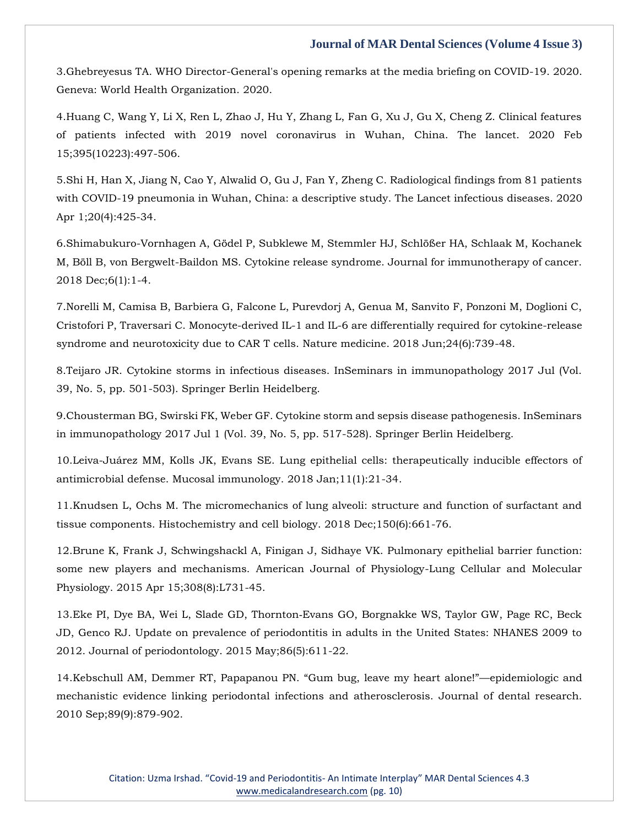3[.Ghebreyesus TA. WHO Director-General's opening remarks at the media briefing on COVID-19. 2020.](https://www.google.com/search?q=WHO+Director-General%27s+opening+remarks+at+the+media+briefing+on+COVID-19&sxsrf=AOaemvLXHn-_6rmgWp7kef-GZCy9t5kgTg%3A1641368486707&ei=pkvVYaa-KqKl2roPz4WGwAo&ved=0ahUKEwimqeGMjpr1AhWiklYBHc-CAagQ4dUDCA4&uact=5&oq=WHO+Director-General%27s+opening+remarks+at+the+media+briefing+on+COVID-19&gs_lcp=Cgdnd3Mtd2l6EAMyBQgAEIAEMgUIABCABDIGCAAQFhAeMgYIABAWEB46BwgjEOoCECdKBAhBGABKBAhGGABQ5QRY5QRgvwdoAXAAeACAAZACiAGQApIBAzItMZgBAKABAaABArABCsABAQ&sclient=gws-wiz)  [Geneva: World Health Organization. 2020.](https://www.google.com/search?q=WHO+Director-General%27s+opening+remarks+at+the+media+briefing+on+COVID-19&sxsrf=AOaemvLXHn-_6rmgWp7kef-GZCy9t5kgTg%3A1641368486707&ei=pkvVYaa-KqKl2roPz4WGwAo&ved=0ahUKEwimqeGMjpr1AhWiklYBHc-CAagQ4dUDCA4&uact=5&oq=WHO+Director-General%27s+opening+remarks+at+the+media+briefing+on+COVID-19&gs_lcp=Cgdnd3Mtd2l6EAMyBQgAEIAEMgUIABCABDIGCAAQFhAeMgYIABAWEB46BwgjEOoCECdKBAhBGABKBAhGGABQ5QRY5QRgvwdoAXAAeACAAZACiAGQApIBAzItMZgBAKABAaABArABCsABAQ&sclient=gws-wiz)

4[.Huang C, Wang Y, Li X, Ren L, Zhao J, Hu Y, Zhang L, Fan G, Xu J, Gu X, Cheng Z. Clinical features](https://www.google.com/search?q=Clinical+features+of+patients+infected+with+2019+novel+coronavirus+in+Wuhan%2C+China&sxsrf=AOaemvJDbVn_CdMDKqT-wroBfh27PfA_Yw%3A1641368510917&ei=vkvVYYGiN93m2roPwcyYqAQ&ved=0ahUKEwiB-aaYjpr1AhVds1YBHUEmBkUQ4dUDCA4&uact=5&oq=Clinical+features+of+patients+infected+with+2019+novel+coronavirus+in+Wuhan%2C+China&gs_lcp=Cgdnd3Mtd2l6EAM6BwgjEOoCECdKBAhBGABKBAhGGABQgAZYgAZgiAloAXACeACAAdMBiAHTAZIBAzItMZgBAKABAaABArABCsABAQ&sclient=gws-wiz)  [of patients infected with 2019 novel coronavirus in Wuhan, China. The lancet. 2020 Feb](https://www.google.com/search?q=Clinical+features+of+patients+infected+with+2019+novel+coronavirus+in+Wuhan%2C+China&sxsrf=AOaemvJDbVn_CdMDKqT-wroBfh27PfA_Yw%3A1641368510917&ei=vkvVYYGiN93m2roPwcyYqAQ&ved=0ahUKEwiB-aaYjpr1AhVds1YBHUEmBkUQ4dUDCA4&uact=5&oq=Clinical+features+of+patients+infected+with+2019+novel+coronavirus+in+Wuhan%2C+China&gs_lcp=Cgdnd3Mtd2l6EAM6BwgjEOoCECdKBAhBGABKBAhGGABQgAZYgAZgiAloAXACeACAAdMBiAHTAZIBAzItMZgBAKABAaABArABCsABAQ&sclient=gws-wiz)  [15;395\(10223\):497-506.](https://www.google.com/search?q=Clinical+features+of+patients+infected+with+2019+novel+coronavirus+in+Wuhan%2C+China&sxsrf=AOaemvJDbVn_CdMDKqT-wroBfh27PfA_Yw%3A1641368510917&ei=vkvVYYGiN93m2roPwcyYqAQ&ved=0ahUKEwiB-aaYjpr1AhVds1YBHUEmBkUQ4dUDCA4&uact=5&oq=Clinical+features+of+patients+infected+with+2019+novel+coronavirus+in+Wuhan%2C+China&gs_lcp=Cgdnd3Mtd2l6EAM6BwgjEOoCECdKBAhBGABKBAhGGABQgAZYgAZgiAloAXACeACAAdMBiAHTAZIBAzItMZgBAKABAaABArABCsABAQ&sclient=gws-wiz)

5[.Shi H, Han X, Jiang N, Cao Y, Alwalid O, Gu J, Fan Y, Zheng C. Radiological findings from 81 patients](https://www.google.com/search?q=Radiological+findings+from+81+patients+with+COVID-19+pneumonia+in+Wuhan%2C+China%3A+a+descriptive+study&sxsrf=AOaemvITkTeIF9GRzN7fFSkaMy-OZtDfCQ%3A1641368532002&ei=00vVYYC7PIrh2roPz8OawAE&ved=0ahUKEwjA8K2ijpr1AhWKsFYBHc-hBhgQ4dUDCA4&uact=5&oq=Radiological+findings+from+81+patients+with+COVID-19+pneumonia+in+Wuhan%2C+China%3A+a+descriptive+study&gs_lcp=Cgdnd3Mtd2l6EAMyBQgAEIAEOgcIIxDqAhAnSgQIQRgASgQIRhgAUJ8FWJ8FYKcHaAFwAHgAgAHbAYgB2wGSAQMyLTGYAQCgAQGgAQKwAQrAAQE&sclient=gws-wiz)  [with COVID-19 pneumonia in Wuhan, China: a descriptive study. The Lancet infectious](https://www.google.com/search?q=Radiological+findings+from+81+patients+with+COVID-19+pneumonia+in+Wuhan%2C+China%3A+a+descriptive+study&sxsrf=AOaemvITkTeIF9GRzN7fFSkaMy-OZtDfCQ%3A1641368532002&ei=00vVYYC7PIrh2roPz8OawAE&ved=0ahUKEwjA8K2ijpr1AhWKsFYBHc-hBhgQ4dUDCA4&uact=5&oq=Radiological+findings+from+81+patients+with+COVID-19+pneumonia+in+Wuhan%2C+China%3A+a+descriptive+study&gs_lcp=Cgdnd3Mtd2l6EAMyBQgAEIAEOgcIIxDqAhAnSgQIQRgASgQIRhgAUJ8FWJ8FYKcHaAFwAHgAgAHbAYgB2wGSAQMyLTGYAQCgAQGgAQKwAQrAAQE&sclient=gws-wiz) diseases. 2020 [Apr 1;20\(4\):425-34.](https://www.google.com/search?q=Radiological+findings+from+81+patients+with+COVID-19+pneumonia+in+Wuhan%2C+China%3A+a+descriptive+study&sxsrf=AOaemvITkTeIF9GRzN7fFSkaMy-OZtDfCQ%3A1641368532002&ei=00vVYYC7PIrh2roPz8OawAE&ved=0ahUKEwjA8K2ijpr1AhWKsFYBHc-hBhgQ4dUDCA4&uact=5&oq=Radiological+findings+from+81+patients+with+COVID-19+pneumonia+in+Wuhan%2C+China%3A+a+descriptive+study&gs_lcp=Cgdnd3Mtd2l6EAMyBQgAEIAEOgcIIxDqAhAnSgQIQRgASgQIRhgAUJ8FWJ8FYKcHaAFwAHgAgAHbAYgB2wGSAQMyLTGYAQCgAQGgAQKwAQrAAQE&sclient=gws-wiz)

6[.Shimabukuro-Vornhagen A, Gödel P, Subklewe M, Stemmler HJ, Schlößer HA, Schlaak M, Kochanek](https://www.google.com/search?q=Cytokine+release+syndrome&sxsrf=AOaemvJP-ys-r6W7sDpy2MvCWEc0GXybiw%3A1641368552740&ei=6EvVYbfKLIbi2roP8PaceA&ved=0ahUKEwi33p-sjpr1AhUGsVYBHXA7Bw8Q4dUDCA4&uact=5&oq=Cytokine+release+syndrome&gs_lcp=Cgdnd3Mtd2l6EAMyCwgAEIAEELEDEIMBMgUIABCABDIFCAAQgAQyBQgAEIAEMgUIABCABDIFCAAQgAQyBQgAEIAEMgUIABCABDIFCAAQgAQyBQgAEIAEOgcIIxDqAhAnSgQIQRgASgQIRhgAUJsFWJsFYIsIaAFwAngAgAHpAYgB6QGSAQMyLTGYAQCgAQGgAQKwAQrAAQE&sclient=gws-wiz)  [M, Böll B, von Bergwelt-Baildon MS. Cytokine release syndrome. Journal for immunotherapy of cancer.](https://www.google.com/search?q=Cytokine+release+syndrome&sxsrf=AOaemvJP-ys-r6W7sDpy2MvCWEc0GXybiw%3A1641368552740&ei=6EvVYbfKLIbi2roP8PaceA&ved=0ahUKEwi33p-sjpr1AhUGsVYBHXA7Bw8Q4dUDCA4&uact=5&oq=Cytokine+release+syndrome&gs_lcp=Cgdnd3Mtd2l6EAMyCwgAEIAEELEDEIMBMgUIABCABDIFCAAQgAQyBQgAEIAEMgUIABCABDIFCAAQgAQyBQgAEIAEMgUIABCABDIFCAAQgAQyBQgAEIAEOgcIIxDqAhAnSgQIQRgASgQIRhgAUJsFWJsFYIsIaAFwAngAgAHpAYgB6QGSAQMyLTGYAQCgAQGgAQKwAQrAAQE&sclient=gws-wiz)  [2018 Dec;6\(1\):1-4.](https://www.google.com/search?q=Cytokine+release+syndrome&sxsrf=AOaemvJP-ys-r6W7sDpy2MvCWEc0GXybiw%3A1641368552740&ei=6EvVYbfKLIbi2roP8PaceA&ved=0ahUKEwi33p-sjpr1AhUGsVYBHXA7Bw8Q4dUDCA4&uact=5&oq=Cytokine+release+syndrome&gs_lcp=Cgdnd3Mtd2l6EAMyCwgAEIAEELEDEIMBMgUIABCABDIFCAAQgAQyBQgAEIAEMgUIABCABDIFCAAQgAQyBQgAEIAEMgUIABCABDIFCAAQgAQyBQgAEIAEOgcIIxDqAhAnSgQIQRgASgQIRhgAUJsFWJsFYIsIaAFwAngAgAHpAYgB6QGSAQMyLTGYAQCgAQGgAQKwAQrAAQE&sclient=gws-wiz)

7[.Norelli M, Camisa B, Barbiera G, Falcone L, Purevdorj A, Genua M, Sanvito F, Ponzoni M, Doglioni C,](https://www.google.com/search?q=Monocyte-derived+IL-1+and+IL-6+are+differentially+required+for+cytokine-release+syndrome+and+neurotoxicity+due+to+CAR+T+cells.+Nature+medicine.+&sxsrf=AOaemvI6xb6uyOhVTaMDCFnU88dvwqJypg%3A1641368567562&ei=90vVYazZIaLl2roP5cSt6A8&ved=0ahUKEwjssKizjpr1AhWislYBHWViC_0Q4dUDCA4&uact=5&oq=Monocyte-derived+IL-1+and+IL-6+are+differentially+required+for+cytokine-release+syndrome+and+neurotoxicity+due+to+CAR+T+cells.+Nature+medicine.+&gs_lcp=Cgdnd3Mtd2l6EAMyBwgjEOoCECcyBwgjEOoCECcyBwgjEOoCECcyBwgjEOoCECcyBwgjEOoCECcyBwgjEOoCECcyBwgjEOoCECcyBwgjEOoCECcyBwgjEOoCECcyBwgjEOoCECdKBAhBGABKBAhGGABQtAhYtAhg7ApoAXACeACAAQCIAQCSAQCYAQCgAQGgAQKwAQrAAQE&sclient=gws-wiz)  [Cristofori P, Traversari C. Monocyte-derived IL-1 and IL-6 are differentially required for cytokine-release](https://www.google.com/search?q=Monocyte-derived+IL-1+and+IL-6+are+differentially+required+for+cytokine-release+syndrome+and+neurotoxicity+due+to+CAR+T+cells.+Nature+medicine.+&sxsrf=AOaemvI6xb6uyOhVTaMDCFnU88dvwqJypg%3A1641368567562&ei=90vVYazZIaLl2roP5cSt6A8&ved=0ahUKEwjssKizjpr1AhWislYBHWViC_0Q4dUDCA4&uact=5&oq=Monocyte-derived+IL-1+and+IL-6+are+differentially+required+for+cytokine-release+syndrome+and+neurotoxicity+due+to+CAR+T+cells.+Nature+medicine.+&gs_lcp=Cgdnd3Mtd2l6EAMyBwgjEOoCECcyBwgjEOoCECcyBwgjEOoCECcyBwgjEOoCECcyBwgjEOoCECcyBwgjEOoCECcyBwgjEOoCECcyBwgjEOoCECcyBwgjEOoCECcyBwgjEOoCECdKBAhBGABKBAhGGABQtAhYtAhg7ApoAXACeACAAQCIAQCSAQCYAQCgAQGgAQKwAQrAAQE&sclient=gws-wiz)  [syndrome and neurotoxicity due to CAR T cells. Nature medicine. 2018 Jun;24\(6\):739-48.](https://www.google.com/search?q=Monocyte-derived+IL-1+and+IL-6+are+differentially+required+for+cytokine-release+syndrome+and+neurotoxicity+due+to+CAR+T+cells.+Nature+medicine.+&sxsrf=AOaemvI6xb6uyOhVTaMDCFnU88dvwqJypg%3A1641368567562&ei=90vVYazZIaLl2roP5cSt6A8&ved=0ahUKEwjssKizjpr1AhWislYBHWViC_0Q4dUDCA4&uact=5&oq=Monocyte-derived+IL-1+and+IL-6+are+differentially+required+for+cytokine-release+syndrome+and+neurotoxicity+due+to+CAR+T+cells.+Nature+medicine.+&gs_lcp=Cgdnd3Mtd2l6EAMyBwgjEOoCECcyBwgjEOoCECcyBwgjEOoCECcyBwgjEOoCECcyBwgjEOoCECcyBwgjEOoCECcyBwgjEOoCECcyBwgjEOoCECcyBwgjEOoCECcyBwgjEOoCECdKBAhBGABKBAhGGABQtAhYtAhg7ApoAXACeACAAQCIAQCSAQCYAQCgAQGgAQKwAQrAAQE&sclient=gws-wiz)

8[.Teijaro JR. Cytokine storms in infectious diseases. InSeminars in immunopathology 2017 Jul \(Vol.](https://www.google.com/search?q=Cytokine+storms+in+infectious+diseases&sxsrf=AOaemvLqO6D2B-A7pP7id0Cny1cRcr4qPw%3A1641368587209&ei=C0zVYdz-C5zd2roP57qf0A0&ved=0ahUKEwicsNe8jpr1AhWcrlYBHWfdB9oQ4dUDCA4&uact=5&oq=Cytokine+storms+in+infectious+diseases&gs_lcp=Cgdnd3Mtd2l6EAMyBQgAEIAEOgcIIxDqAhAnSgQIQRgASgQIRhgAUIcFWIcFYOQHaAFwAngAgAHLAYgBywGSAQMyLTGYAQCgAQGgAQKwAQrAAQE&sclient=gws-wiz)  [39, No. 5, pp. 501-503\). Springer Berlin Heidelberg.](https://www.google.com/search?q=Cytokine+storms+in+infectious+diseases&sxsrf=AOaemvLqO6D2B-A7pP7id0Cny1cRcr4qPw%3A1641368587209&ei=C0zVYdz-C5zd2roP57qf0A0&ved=0ahUKEwicsNe8jpr1AhWcrlYBHWfdB9oQ4dUDCA4&uact=5&oq=Cytokine+storms+in+infectious+diseases&gs_lcp=Cgdnd3Mtd2l6EAMyBQgAEIAEOgcIIxDqAhAnSgQIQRgASgQIRhgAUIcFWIcFYOQHaAFwAngAgAHLAYgBywGSAQMyLTGYAQCgAQGgAQKwAQrAAQE&sclient=gws-wiz)

9[.Chousterman BG, Swirski FK, Weber GF. Cytokine storm and sepsis disease pathogenesis. InSeminars](https://www.google.com/search?q=Cytokine+storm+and+sepsis+disease+pathogenesis&sxsrf=AOaemvKoymSsN8QKdR0O1CiSDE_tcNkkdA%3A1641368604644&ei=HEzVYa3TJsap2roP8eKtwAc&ved=0ahUKEwit0f_Ejpr1AhXGlFYBHXFxC3gQ4dUDCA4&uact=5&oq=Cytokine+storm+and+sepsis+disease+pathogenesis&gs_lcp=Cgdnd3Mtd2l6EAMyBQgAEIAEOgcIIxDqAhAnSgQIQRgASgQIRhgAUKgFWKgFYMgLaAFwAHgAgAHhAYgB4QGSAQMyLTGYAQCgAQGgAQKwAQrAAQE&sclient=gws-wiz)  [in immunopathology 2017 Jul 1 \(Vol. 39, No. 5, pp. 517-528\). Springer Berlin Heidelberg.](https://www.google.com/search?q=Cytokine+storm+and+sepsis+disease+pathogenesis&sxsrf=AOaemvKoymSsN8QKdR0O1CiSDE_tcNkkdA%3A1641368604644&ei=HEzVYa3TJsap2roP8eKtwAc&ved=0ahUKEwit0f_Ejpr1AhXGlFYBHXFxC3gQ4dUDCA4&uact=5&oq=Cytokine+storm+and+sepsis+disease+pathogenesis&gs_lcp=Cgdnd3Mtd2l6EAMyBQgAEIAEOgcIIxDqAhAnSgQIQRgASgQIRhgAUKgFWKgFYMgLaAFwAHgAgAHhAYgB4QGSAQMyLTGYAQCgAQGgAQKwAQrAAQE&sclient=gws-wiz)

10[.Leiva-Juárez MM, Kolls JK, Evans SE. Lung epithelial cells: therapeutically inducible effectors of](https://www.google.com/search?q=Lung+epithelial+cells%3A+therapeutically+inducible+effectors+of+antimicrobial+defense&sxsrf=AOaemvIrPNwrbvlErh5DGr_sZze5jtgAEw%3A1641368622478&ei=LkzVYai2HIfn2roPnNi5yAY&ved=0ahUKEwiohcDNjpr1AhWHs1YBHRxsDmkQ4dUDCA4&uact=5&oq=Lung+epithelial+cells%3A+therapeutically+inducible+effectors+of+antimicrobial+defense&gs_lcp=Cgdnd3Mtd2l6EAMyBggAEBYQHjoHCCMQ6gIQJ0oECEEYAEoECEYYAFCoCVioCWDQC2gBcAJ4AIAB3AGIAdwBkgEDMi0xmAEAoAEBoAECsAEKwAEB&sclient=gws-wiz)  [antimicrobial defense. Mucosal immunology. 2018 Jan;11\(1\):21-34.](https://www.google.com/search?q=Lung+epithelial+cells%3A+therapeutically+inducible+effectors+of+antimicrobial+defense&sxsrf=AOaemvIrPNwrbvlErh5DGr_sZze5jtgAEw%3A1641368622478&ei=LkzVYai2HIfn2roPnNi5yAY&ved=0ahUKEwiohcDNjpr1AhWHs1YBHRxsDmkQ4dUDCA4&uact=5&oq=Lung+epithelial+cells%3A+therapeutically+inducible+effectors+of+antimicrobial+defense&gs_lcp=Cgdnd3Mtd2l6EAMyBggAEBYQHjoHCCMQ6gIQJ0oECEEYAEoECEYYAFCoCVioCWDQC2gBcAJ4AIAB3AGIAdwBkgEDMi0xmAEAoAEBoAECsAEKwAEB&sclient=gws-wiz)

11[.Knudsen L, Ochs M. The micromechanics of lung alveoli: structure and function of surfactant and](https://www.google.com/search?q=The+micromechanics+of+lung+alveoli%3A+structure+and+function+of+surfactant+and+tissue+components&sxsrf=AOaemvL0kmxhseg-9IXiyUQyTbz2oS_0-A%3A1641368639364&ei=P0zVYZeyFbDa2roPp96oiAc&ved=0ahUKEwjXzcbVjpr1AhUwrVYBHScvCnEQ4dUDCA4&uact=5&oq=The+micromechanics+of+lung+alveoli%3A+structure+and+function+of+surfactant+and+tissue+components&gs_lcp=Cgdnd3Mtd2l6EAMyBQgAEIAEOgcIIxDqAhAnSgQIQRgASgQIRhgAUJEFWJEFYO8HaAFwAngAgAG9AYgBvQGSAQMwLjGYAQCgAQGgAQKwAQrAAQE&sclient=gws-wiz)  [tissue components. Histochemistry and cell biology. 2018 Dec;150\(6\):661-76.](https://www.google.com/search?q=The+micromechanics+of+lung+alveoli%3A+structure+and+function+of+surfactant+and+tissue+components&sxsrf=AOaemvL0kmxhseg-9IXiyUQyTbz2oS_0-A%3A1641368639364&ei=P0zVYZeyFbDa2roPp96oiAc&ved=0ahUKEwjXzcbVjpr1AhUwrVYBHScvCnEQ4dUDCA4&uact=5&oq=The+micromechanics+of+lung+alveoli%3A+structure+and+function+of+surfactant+and+tissue+components&gs_lcp=Cgdnd3Mtd2l6EAMyBQgAEIAEOgcIIxDqAhAnSgQIQRgASgQIRhgAUJEFWJEFYO8HaAFwAngAgAG9AYgBvQGSAQMwLjGYAQCgAQGgAQKwAQrAAQE&sclient=gws-wiz)

12[.Brune K, Frank J, Schwingshackl A, Finigan J, Sidhaye VK. Pulmonary epithelial barrier function:](https://www.google.com/search?q=Pulmonary+epithelial+barrier+function%3A+some+new+players+and+mechanisms.+American+Journal+of+Physiology-Lung+Cellular+and+Molecular+Physiology&sxsrf=AOaemvKKcHM_251Qn-8vZ4kGPfat3HOnSw%3A1641368659659&ei=U0zVYebRJ9Le2roPn46d4Ac&ved=0ahUKEwimx53fjpr1AhVSr1YBHR9HB3wQ4dUDCA4&uact=5&oq=Pulmonary+epithelial+barrier+function%3A+some+new+players+and+mechanisms.+American+Journal+of+Physiology-Lung+Cellular+and+Molecular+Physiology&gs_lcp=Cgdnd3Mtd2l6EAMyBwgjEOoCECcyBwgjEOoCECcyBwgjEOoCECcyBwgjEOoCECcyBwgjEOoCECcyBwgjEOoCECcyBwgjEOoCECcyBwgjEOoCECcyBwgjEOoCECcyBwgjEOoCECdKBAhBGABKBAhGGABQygVYygVg8AhoAXACeACAAQCIAQCSAQCYAQCgAQGgAQKwAQrAAQE&sclient=gws-wiz)  [some new players and mechanisms. American Journal of Physiology-Lung Cellular and Molecular](https://www.google.com/search?q=Pulmonary+epithelial+barrier+function%3A+some+new+players+and+mechanisms.+American+Journal+of+Physiology-Lung+Cellular+and+Molecular+Physiology&sxsrf=AOaemvKKcHM_251Qn-8vZ4kGPfat3HOnSw%3A1641368659659&ei=U0zVYebRJ9Le2roPn46d4Ac&ved=0ahUKEwimx53fjpr1AhVSr1YBHR9HB3wQ4dUDCA4&uact=5&oq=Pulmonary+epithelial+barrier+function%3A+some+new+players+and+mechanisms.+American+Journal+of+Physiology-Lung+Cellular+and+Molecular+Physiology&gs_lcp=Cgdnd3Mtd2l6EAMyBwgjEOoCECcyBwgjEOoCECcyBwgjEOoCECcyBwgjEOoCECcyBwgjEOoCECcyBwgjEOoCECcyBwgjEOoCECcyBwgjEOoCECcyBwgjEOoCECcyBwgjEOoCECdKBAhBGABKBAhGGABQygVYygVg8AhoAXACeACAAQCIAQCSAQCYAQCgAQGgAQKwAQrAAQE&sclient=gws-wiz)  [Physiology. 2015 Apr 15;308\(8\):L731-45.](https://www.google.com/search?q=Pulmonary+epithelial+barrier+function%3A+some+new+players+and+mechanisms.+American+Journal+of+Physiology-Lung+Cellular+and+Molecular+Physiology&sxsrf=AOaemvKKcHM_251Qn-8vZ4kGPfat3HOnSw%3A1641368659659&ei=U0zVYebRJ9Le2roPn46d4Ac&ved=0ahUKEwimx53fjpr1AhVSr1YBHR9HB3wQ4dUDCA4&uact=5&oq=Pulmonary+epithelial+barrier+function%3A+some+new+players+and+mechanisms.+American+Journal+of+Physiology-Lung+Cellular+and+Molecular+Physiology&gs_lcp=Cgdnd3Mtd2l6EAMyBwgjEOoCECcyBwgjEOoCECcyBwgjEOoCECcyBwgjEOoCECcyBwgjEOoCECcyBwgjEOoCECcyBwgjEOoCECcyBwgjEOoCECcyBwgjEOoCECcyBwgjEOoCECdKBAhBGABKBAhGGABQygVYygVg8AhoAXACeACAAQCIAQCSAQCYAQCgAQGgAQKwAQrAAQE&sclient=gws-wiz)

13.Eke PI, Dye BA, Wei L, Slade GD, Thornton‐[Evans GO, Borgnakke WS, Taylor GW, Page RC, Beck](https://www.google.com/search?q=.+Update+on+prevalence+of+periodontitis+in+adults+in+the+United+States%3A+NHANES+2009+to+2012&sxsrf=AOaemvK9rENWldIFvlrexcQ8kzFE_bcBwA%3A1641368676882&ei=ZEzVYYaZNfLg2roPs8WViA0&ved=0ahUKEwiG27jnjpr1AhVysFYBHbNiBdEQ4dUDCA4&uact=5&oq=.+Update+on+prevalence+of+periodontitis+in+adults+in+the+United+States%3A+NHANES+2009+to+2012&gs_lcp=Cgdnd3Mtd2l6EAMyBAgAEB46BwgjEOoCECdKBAhBGABKBAhGGABQ3wVY3wVgtghoAXAAeACAAe4BiAHuAZIBAzItMZgBAKABAaABArABCsABAQ&sclient=gws-wiz)  [JD, Genco RJ. Update on prevalence of periodontitis in adults in the United States: NHANES 2009 to](https://www.google.com/search?q=.+Update+on+prevalence+of+periodontitis+in+adults+in+the+United+States%3A+NHANES+2009+to+2012&sxsrf=AOaemvK9rENWldIFvlrexcQ8kzFE_bcBwA%3A1641368676882&ei=ZEzVYYaZNfLg2roPs8WViA0&ved=0ahUKEwiG27jnjpr1AhVysFYBHbNiBdEQ4dUDCA4&uact=5&oq=.+Update+on+prevalence+of+periodontitis+in+adults+in+the+United+States%3A+NHANES+2009+to+2012&gs_lcp=Cgdnd3Mtd2l6EAMyBAgAEB46BwgjEOoCECdKBAhBGABKBAhGGABQ3wVY3wVgtghoAXAAeACAAe4BiAHuAZIBAzItMZgBAKABAaABArABCsABAQ&sclient=gws-wiz)  [2012. Journal of periodontology. 2015 May;86\(5\):611-22.](https://www.google.com/search?q=.+Update+on+prevalence+of+periodontitis+in+adults+in+the+United+States%3A+NHANES+2009+to+2012&sxsrf=AOaemvK9rENWldIFvlrexcQ8kzFE_bcBwA%3A1641368676882&ei=ZEzVYYaZNfLg2roPs8WViA0&ved=0ahUKEwiG27jnjpr1AhVysFYBHbNiBdEQ4dUDCA4&uact=5&oq=.+Update+on+prevalence+of+periodontitis+in+adults+in+the+United+States%3A+NHANES+2009+to+2012&gs_lcp=Cgdnd3Mtd2l6EAMyBAgAEB46BwgjEOoCECdKBAhBGABKBAhGGABQ3wVY3wVgtghoAXAAeACAAe4BiAHuAZIBAzItMZgBAKABAaABArABCsABAQ&sclient=gws-wiz)

14.[Kebschull AM, Demmer RT, Papapanou PN. "Gum bug, leave my heart alone!"—](https://www.google.com/search?q=Gum+bug%2C+leave+my+heart+alone%21%E2%80%9D%E2%80%94epidemiologic+and+mechanistic+evidence+linking+periodontal+infections+and+atherosclerosis&sxsrf=AOaemvKsZUGXuyjNAgyirjdkp6gbYJZcHA%3A1641368695409&ei=d0zVYZKOGPGP2roPhNmRwAo&ved=0ahUKEwjSpaPwjpr1AhXxh1YBHYRsBKgQ4dUDCA4&uact=5&oq=Gum+bug%2C+leave+my+heart+alone%21%E2%80%9D%E2%80%94epidemiologic+and+mechanistic+evidence+linking+periodontal+infections+and+atherosclerosis&gs_lcp=Cgdnd3Mtd2l6EAMyBwgjEOoCECcyBwgjEOoCECcyBwgjEOoCECcyBwgjEOoCECcyBwgjEOoCECcyBwgjEOoCECcyBwgjEOoCECcyBwgjEOoCECcyBwgjEOoCECcyBwgjEOoCECdKBAhBGABKBAhGGABQpwJYpwJgmwRoAXACeACAAQCIAQCSAQCYAQCgAQGgAQKwAQrAAQE&sclient=gws-wiz)epidemiologic and [mechanistic evidence linking periodontal infections and atherosclerosis. Journal of dental research.](https://www.google.com/search?q=Gum+bug%2C+leave+my+heart+alone%21%E2%80%9D%E2%80%94epidemiologic+and+mechanistic+evidence+linking+periodontal+infections+and+atherosclerosis&sxsrf=AOaemvKsZUGXuyjNAgyirjdkp6gbYJZcHA%3A1641368695409&ei=d0zVYZKOGPGP2roPhNmRwAo&ved=0ahUKEwjSpaPwjpr1AhXxh1YBHYRsBKgQ4dUDCA4&uact=5&oq=Gum+bug%2C+leave+my+heart+alone%21%E2%80%9D%E2%80%94epidemiologic+and+mechanistic+evidence+linking+periodontal+infections+and+atherosclerosis&gs_lcp=Cgdnd3Mtd2l6EAMyBwgjEOoCECcyBwgjEOoCECcyBwgjEOoCECcyBwgjEOoCECcyBwgjEOoCECcyBwgjEOoCECcyBwgjEOoCECcyBwgjEOoCECcyBwgjEOoCECcyBwgjEOoCECdKBAhBGABKBAhGGABQpwJYpwJgmwRoAXACeACAAQCIAQCSAQCYAQCgAQGgAQKwAQrAAQE&sclient=gws-wiz)  [2010 Sep;89\(9\):879-902.](https://www.google.com/search?q=Gum+bug%2C+leave+my+heart+alone%21%E2%80%9D%E2%80%94epidemiologic+and+mechanistic+evidence+linking+periodontal+infections+and+atherosclerosis&sxsrf=AOaemvKsZUGXuyjNAgyirjdkp6gbYJZcHA%3A1641368695409&ei=d0zVYZKOGPGP2roPhNmRwAo&ved=0ahUKEwjSpaPwjpr1AhXxh1YBHYRsBKgQ4dUDCA4&uact=5&oq=Gum+bug%2C+leave+my+heart+alone%21%E2%80%9D%E2%80%94epidemiologic+and+mechanistic+evidence+linking+periodontal+infections+and+atherosclerosis&gs_lcp=Cgdnd3Mtd2l6EAMyBwgjEOoCECcyBwgjEOoCECcyBwgjEOoCECcyBwgjEOoCECcyBwgjEOoCECcyBwgjEOoCECcyBwgjEOoCECcyBwgjEOoCECcyBwgjEOoCECcyBwgjEOoCECdKBAhBGABKBAhGGABQpwJYpwJgmwRoAXACeACAAQCIAQCSAQCYAQCgAQGgAQKwAQrAAQE&sclient=gws-wiz)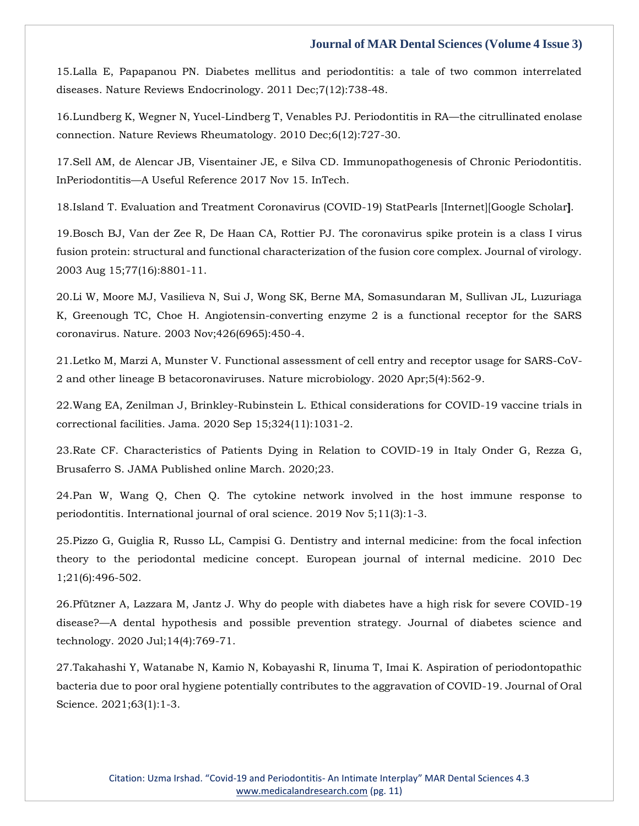15[.Lalla E, Papapanou PN. Diabetes mellitus and periodontitis: a tale of two common interrelated](https://www.google.com/search?q=Diabetes+mellitus+and+periodontitis%3A+a+tale+of+two+common+interrelated+diseases&sxsrf=AOaemvIfrOYAopKCxmjgIis4J5DvMDtCaA%3A1641368710327&ei=hkzVYcKPE93n2roP9IuuKA&ved=0ahUKEwjC6rH3jpr1AhXds1YBHfSFCwUQ4dUDCA4&uact=5&oq=Diabetes+mellitus+and+periodontitis%3A+a+tale+of+two+common+interrelated+diseases&gs_lcp=Cgdnd3Mtd2l6EAMyBwgjEOoCECcyBwgjEOoCECcyBwgjEOoCECcyBwgjEOoCECcyBwgjEOoCECcyBwgjEOoCECcyBwgjEOoCECcyBwgjEOoCECcyBwgjEOoCECcyBwgjEOoCECdKBAhBGABKBAhGGABQnQZYnQZguAloAXAAeACAAQCIAQCSAQCYAQCgAQGgAQKwAQrAAQE&sclient=gws-wiz)  [diseases. Nature Reviews Endocrinology. 2011 Dec;7\(12\):738-48.](https://www.google.com/search?q=Diabetes+mellitus+and+periodontitis%3A+a+tale+of+two+common+interrelated+diseases&sxsrf=AOaemvIfrOYAopKCxmjgIis4J5DvMDtCaA%3A1641368710327&ei=hkzVYcKPE93n2roP9IuuKA&ved=0ahUKEwjC6rH3jpr1AhXds1YBHfSFCwUQ4dUDCA4&uact=5&oq=Diabetes+mellitus+and+periodontitis%3A+a+tale+of+two+common+interrelated+diseases&gs_lcp=Cgdnd3Mtd2l6EAMyBwgjEOoCECcyBwgjEOoCECcyBwgjEOoCECcyBwgjEOoCECcyBwgjEOoCECcyBwgjEOoCECcyBwgjEOoCECcyBwgjEOoCECcyBwgjEOoCECcyBwgjEOoCECdKBAhBGABKBAhGGABQnQZYnQZguAloAXAAeACAAQCIAQCSAQCYAQCgAQGgAQKwAQrAAQE&sclient=gws-wiz)

16[.Lundberg K, Wegner N, Yucel-Lindberg T, Venables PJ. Periodontitis in RA](https://www.google.com/search?q=Periodontitis+in+RA%E2%80%94the+citrullinated+enolase+connection&sxsrf=AOaemvIYSjyhbjAHHHczJRYnloKCsiB_0A%3A1641368731418&ei=m0zVYfHiGLKm2roP16mu4Ac&ved=0ahUKEwixnLmBj5r1AhUyk1YBHdeUC3wQ4dUDCA4&uact=5&oq=Periodontitis+in+RA%E2%80%94the+citrullinated+enolase+connection&gs_lcp=Cgdnd3Mtd2l6EAMyBggAEBYQHjoHCCMQ6gIQJ0oECEEYAEoECEYYAFDTBVjTBWDICGgBcAJ4AIABlQKIAZUCkgEDMi0xmAEAoAEBoAECsAEKwAEB&sclient=gws-wiz)—the citrullinated enolase [connection. Nature Reviews Rheumatology. 2010 Dec;6\(12\):727-30.](https://www.google.com/search?q=Periodontitis+in+RA%E2%80%94the+citrullinated+enolase+connection&sxsrf=AOaemvIYSjyhbjAHHHczJRYnloKCsiB_0A%3A1641368731418&ei=m0zVYfHiGLKm2roP16mu4Ac&ved=0ahUKEwixnLmBj5r1AhUyk1YBHdeUC3wQ4dUDCA4&uact=5&oq=Periodontitis+in+RA%E2%80%94the+citrullinated+enolase+connection&gs_lcp=Cgdnd3Mtd2l6EAMyBggAEBYQHjoHCCMQ6gIQJ0oECEEYAEoECEYYAFDTBVjTBWDICGgBcAJ4AIABlQKIAZUCkgEDMi0xmAEAoAEBoAECsAEKwAEB&sclient=gws-wiz)

17[.Sell AM, de Alencar JB, Visentainer JE, e Silva CD. Immunopathogenesis of Chronic Periodontitis.](https://www.google.com/search?q=Immunopathogenesis+of+Chronic+Periodontitis&sxsrf=AOaemvJRd2QPW1DM1LNInDN8bmzxapzSCQ%3A1641368755571&ei=s0zVYbf7Ib7a2roPn-uzWA&ved=0ahUKEwj3oPuMj5r1AhU-rVYBHZ_1DAsQ4dUDCA4&uact=5&oq=Immunopathogenesis+of+Chronic+Periodontitis&gs_lcp=Cgdnd3Mtd2l6EAMyBggAEBYQHjIGCAAQFhAeMgYIABAWEB46BwgjEOoCECdKBAhBGABKBAhGGABQ1AVY1AVgrghoAXAAeACAAfoBiAH6AZIBAzItMZgBAKABAaABArABCsABAQ&sclient=gws-wiz)  InPeriodontitis—[A Useful Reference 2017 Nov 15. InTech.](https://www.google.com/search?q=Immunopathogenesis+of+Chronic+Periodontitis&sxsrf=AOaemvJRd2QPW1DM1LNInDN8bmzxapzSCQ%3A1641368755571&ei=s0zVYbf7Ib7a2roPn-uzWA&ved=0ahUKEwj3oPuMj5r1AhU-rVYBHZ_1DAsQ4dUDCA4&uact=5&oq=Immunopathogenesis+of+Chronic+Periodontitis&gs_lcp=Cgdnd3Mtd2l6EAMyBggAEBYQHjIGCAAQFhAeMgYIABAWEB46BwgjEOoCECdKBAhBGABKBAhGGABQ1AVY1AVgrghoAXAAeACAAfoBiAH6AZIBAzItMZgBAKABAaABArABCsABAQ&sclient=gws-wiz)

18[.Island T. Evaluation and Treatment Coronavirus \(COVID-19\) StatPearls \[Internet\]\[Google Scholar](https://www.google.com/search?q=Evaluation+and+Treatment+Coronavirus+&sxsrf=AOaemvIFUKhGCT5TKR6ExTZj55rVLOJzbA%3A1641368781139&ei=zUzVYfL2B9_e2roPy4-coAs&ved=0ahUKEwiykZSZj5r1AhVfr1YBHcsHB7QQ4dUDCA4&uact=5&oq=Evaluation+and+Treatment+Coronavirus+&gs_lcp=Cgdnd3Mtd2l6EAMyBQgAEIAEMgYIABAWEB46BwgjEOoCECdKBAhBGABKBAhGGABQ1AVY1AVgyAhoAXACeACAAdwBiAHcAZIBAzItMZgBAKABAaABArABCsABAQ&sclient=gws-wiz)**]**.

19[.Bosch BJ, Van der Zee R, De Haan CA, Rottier PJ. The coronavirus spike protein is a class I virus](https://www.google.com/search?q=The+coronavirus+spike+protein+is+a+class+I+virus+fusion+protein%3A+structural+and+functional+characterization+of+the+fusion+core+complex&sxsrf=AOaemvJpgboEM_nHvw0h5hCBfThGSgVtoA%3A1641368801156&ei=4UzVYeHrCMnb2roPxJ63gAQ&ved=0ahUKEwih4Nmij5r1AhXJrVYBHUTPDUAQ4dUDCA4&uact=5&oq=The+coronavirus+spike+protein+is+a+class+I+virus+fusion+protein%3A+structural+and+functional+characterization+of+the+fusion+core+complex&gs_lcp=Cgdnd3Mtd2l6EAMyBwgjEOoCECcyBwgjEOoCECcyBwgjEOoCECcyBwgjEOoCECcyBwgjEOoCECcyBwgjEOoCECcyBwgjEOoCECcyBwgjEOoCECcyBwgjEOoCECcyBwgjEOoCECdKBAhBGABKBAhGGABQygVYygVgsghoAXACeACAAQCIAQCSAQCYAQCgAQGgAQKwAQrAAQE&sclient=gws-wiz)  [fusion protein: structural and functional characterization of the fusion core complex. Journal of virology.](https://www.google.com/search?q=The+coronavirus+spike+protein+is+a+class+I+virus+fusion+protein%3A+structural+and+functional+characterization+of+the+fusion+core+complex&sxsrf=AOaemvJpgboEM_nHvw0h5hCBfThGSgVtoA%3A1641368801156&ei=4UzVYeHrCMnb2roPxJ63gAQ&ved=0ahUKEwih4Nmij5r1AhXJrVYBHUTPDUAQ4dUDCA4&uact=5&oq=The+coronavirus+spike+protein+is+a+class+I+virus+fusion+protein%3A+structural+and+functional+characterization+of+the+fusion+core+complex&gs_lcp=Cgdnd3Mtd2l6EAMyBwgjEOoCECcyBwgjEOoCECcyBwgjEOoCECcyBwgjEOoCECcyBwgjEOoCECcyBwgjEOoCECcyBwgjEOoCECcyBwgjEOoCECcyBwgjEOoCECcyBwgjEOoCECdKBAhBGABKBAhGGABQygVYygVgsghoAXACeACAAQCIAQCSAQCYAQCgAQGgAQKwAQrAAQE&sclient=gws-wiz)  [2003 Aug 15;77\(16\):8801-11.](https://www.google.com/search?q=The+coronavirus+spike+protein+is+a+class+I+virus+fusion+protein%3A+structural+and+functional+characterization+of+the+fusion+core+complex&sxsrf=AOaemvJpgboEM_nHvw0h5hCBfThGSgVtoA%3A1641368801156&ei=4UzVYeHrCMnb2roPxJ63gAQ&ved=0ahUKEwih4Nmij5r1AhXJrVYBHUTPDUAQ4dUDCA4&uact=5&oq=The+coronavirus+spike+protein+is+a+class+I+virus+fusion+protein%3A+structural+and+functional+characterization+of+the+fusion+core+complex&gs_lcp=Cgdnd3Mtd2l6EAMyBwgjEOoCECcyBwgjEOoCECcyBwgjEOoCECcyBwgjEOoCECcyBwgjEOoCECcyBwgjEOoCECcyBwgjEOoCECcyBwgjEOoCECcyBwgjEOoCECcyBwgjEOoCECdKBAhBGABKBAhGGABQygVYygVgsghoAXACeACAAQCIAQCSAQCYAQCgAQGgAQKwAQrAAQE&sclient=gws-wiz)

20[.Li W, Moore MJ, Vasilieva N, Sui J, Wong SK, Berne MA, Somasundaran M, Sullivan JL, Luzuriaga](https://www.google.com/search?q=Angiotensin-converting+enzyme+2+is+a+functional+receptor+for+the+SARS+coronavirus&sxsrf=AOaemvL7n_MzpIWJ4KIYoNIwJ0lB6phSSQ%3A1641368818878&ei=8kzVYcjyNO3k2roPwbG16A8&ved=0ahUKEwjIs5Orj5r1AhVtslYBHcFYDf0Q4dUDCA4&uact=5&oq=Angiotensin-converting+enzyme+2+is+a+functional+receptor+for+the+SARS+coronavirus&gs_lcp=Cgdnd3Mtd2l6EAMyBQgAEIAEOgcIIxDqAhAnSgQIQRgASgQIRhgAUL0FWL0FYOYKaAFwAngAgAGuAYgBrgGSAQMwLjGYAQCgAQGgAQKwAQrAAQE&sclient=gws-wiz)  [K, Greenough TC, Choe H. Angiotensin-converting enzyme 2 is a functional receptor for the SARS](https://www.google.com/search?q=Angiotensin-converting+enzyme+2+is+a+functional+receptor+for+the+SARS+coronavirus&sxsrf=AOaemvL7n_MzpIWJ4KIYoNIwJ0lB6phSSQ%3A1641368818878&ei=8kzVYcjyNO3k2roPwbG16A8&ved=0ahUKEwjIs5Orj5r1AhVtslYBHcFYDf0Q4dUDCA4&uact=5&oq=Angiotensin-converting+enzyme+2+is+a+functional+receptor+for+the+SARS+coronavirus&gs_lcp=Cgdnd3Mtd2l6EAMyBQgAEIAEOgcIIxDqAhAnSgQIQRgASgQIRhgAUL0FWL0FYOYKaAFwAngAgAGuAYgBrgGSAQMwLjGYAQCgAQGgAQKwAQrAAQE&sclient=gws-wiz)  [coronavirus. Nature. 2003 Nov;426\(6965\):450-4.](https://www.google.com/search?q=Angiotensin-converting+enzyme+2+is+a+functional+receptor+for+the+SARS+coronavirus&sxsrf=AOaemvL7n_MzpIWJ4KIYoNIwJ0lB6phSSQ%3A1641368818878&ei=8kzVYcjyNO3k2roPwbG16A8&ved=0ahUKEwjIs5Orj5r1AhVtslYBHcFYDf0Q4dUDCA4&uact=5&oq=Angiotensin-converting+enzyme+2+is+a+functional+receptor+for+the+SARS+coronavirus&gs_lcp=Cgdnd3Mtd2l6EAMyBQgAEIAEOgcIIxDqAhAnSgQIQRgASgQIRhgAUL0FWL0FYOYKaAFwAngAgAGuAYgBrgGSAQMwLjGYAQCgAQGgAQKwAQrAAQE&sclient=gws-wiz)

21[.Letko M, Marzi A, Munster V. Functional assessment of cell entry and receptor usage for SARS-CoV-](https://www.google.com/search?q=Functional+assessment+of+cell+entry+and+receptor+usage+for+SARS-CoV-2+and+other+lineage+B+betacoronaviruses&sxsrf=AOaemvK_GcSpDbOqOf4v_cdyh2tD6Aij-A%3A1641368837864&ei=BU3VYeP1M7Wp2roPwLaGSA&ved=0ahUKEwijjJq0j5r1AhW1lFYBHUCbAQkQ4dUDCA4&uact=5&oq=Functional+assessment+of+cell+entry+and+receptor+usage+for+SARS-CoV-2+and+other+lineage+B+betacoronaviruses&gs_lcp=Cgdnd3Mtd2l6EAMyBwgjEOoCECcyBwgjEOoCECcyBwgjEOoCECcyBwgjEOoCECcyBwgjEOoCECcyBwgjEOoCECcyBwgjEOoCECcyBwgjEOoCECcyBwgjEOoCECcyBwgjEOoCECdKBAhBGABKBAhGGABQgwVYgwVgxAhoAXACeACAAQCIAQCSAQCYAQCgAQGgAQKwAQrAAQE&sclient=gws-wiz)[2 and other lineage B betacoronaviruses. Nature microbiology. 2020 Apr;5\(4\):562-9.](https://www.google.com/search?q=Functional+assessment+of+cell+entry+and+receptor+usage+for+SARS-CoV-2+and+other+lineage+B+betacoronaviruses&sxsrf=AOaemvK_GcSpDbOqOf4v_cdyh2tD6Aij-A%3A1641368837864&ei=BU3VYeP1M7Wp2roPwLaGSA&ved=0ahUKEwijjJq0j5r1AhW1lFYBHUCbAQkQ4dUDCA4&uact=5&oq=Functional+assessment+of+cell+entry+and+receptor+usage+for+SARS-CoV-2+and+other+lineage+B+betacoronaviruses&gs_lcp=Cgdnd3Mtd2l6EAMyBwgjEOoCECcyBwgjEOoCECcyBwgjEOoCECcyBwgjEOoCECcyBwgjEOoCECcyBwgjEOoCECcyBwgjEOoCECcyBwgjEOoCECcyBwgjEOoCECcyBwgjEOoCECdKBAhBGABKBAhGGABQgwVYgwVgxAhoAXACeACAAQCIAQCSAQCYAQCgAQGgAQKwAQrAAQE&sclient=gws-wiz)

22[.Wang EA, Zenilman J, Brinkley-Rubinstein L. Ethical considerations for COVID-19 vaccine trials in](https://www.google.com/search?q=Ethical+considerations+for+COVID-19+vaccine+trials+in+correctional+facilities&sxsrf=AOaemvLlUY1xl3u0FtuzuC86ObXlB_2GQQ%3A1641368853333&ei=FU3VYbm_E-jl2roPx7OdmA0&ved=0ahUKEwj5ncq7j5r1AhXoslYBHcdZB9MQ4dUDCA4&uact=5&oq=Ethical+considerations+for+COVID-19+vaccine+trials+in+correctional+facilities&gs_lcp=Cgdnd3Mtd2l6EAMyBQgAEIAEOgcIIxDqAhAnSgQIQRgASgQIRhgAUM4FWJ0PYIQVaAFwAngAgAG5AogBtwSSAQUyLTEuMZgBAKABAaABArABCsABAQ&sclient=gws-wiz)  [correctional facilities. Jama. 2020 Sep 15;324\(11\):1031-2.](https://www.google.com/search?q=Ethical+considerations+for+COVID-19+vaccine+trials+in+correctional+facilities&sxsrf=AOaemvLlUY1xl3u0FtuzuC86ObXlB_2GQQ%3A1641368853333&ei=FU3VYbm_E-jl2roPx7OdmA0&ved=0ahUKEwj5ncq7j5r1AhXoslYBHcdZB9MQ4dUDCA4&uact=5&oq=Ethical+considerations+for+COVID-19+vaccine+trials+in+correctional+facilities&gs_lcp=Cgdnd3Mtd2l6EAMyBQgAEIAEOgcIIxDqAhAnSgQIQRgASgQIRhgAUM4FWJ0PYIQVaAFwAngAgAG5AogBtwSSAQUyLTEuMZgBAKABAaABArABCsABAQ&sclient=gws-wiz)

23.Rate CF. Characteristics of Patients [Dying in Relation to COVID-19 in Italy Onder G, Rezza G,](https://www.google.com/search?q=Characteristics+of+Patients+Dying+in+Relation+to+COVID-19+in+Italy&sxsrf=AOaemvJtYp9XX6R91TnTJWS5VQsGOWoG8w%3A1641368877945&ei=LU3VYZ2HOevn2roPu_mp2A4&ved=0ahUKEwjd0ajHj5r1AhXrs1YBHbt8CusQ4dUDCA4&uact=5&oq=Characteristics+of+Patients+Dying+in+Relation+to+COVID-19+in+Italy&gs_lcp=Cgdnd3Mtd2l6EAM6BwgjEOoCECdKBAhBGABKBAhGGABQgQZYgQZg9QloAXACeACAAZECiAGRApIBAzItMZgBAKABAaABArABCsABAQ&sclient=gws-wiz)  [Brusaferro S. JAMA Published online March. 2020;23.](https://www.google.com/search?q=Characteristics+of+Patients+Dying+in+Relation+to+COVID-19+in+Italy&sxsrf=AOaemvJtYp9XX6R91TnTJWS5VQsGOWoG8w%3A1641368877945&ei=LU3VYZ2HOevn2roPu_mp2A4&ved=0ahUKEwjd0ajHj5r1AhXrs1YBHbt8CusQ4dUDCA4&uact=5&oq=Characteristics+of+Patients+Dying+in+Relation+to+COVID-19+in+Italy&gs_lcp=Cgdnd3Mtd2l6EAM6BwgjEOoCECdKBAhBGABKBAhGGABQgQZYgQZg9QloAXACeACAAZECiAGRApIBAzItMZgBAKABAaABArABCsABAQ&sclient=gws-wiz)

24[.Pan W, Wang Q, Chen Q. The cytokine network involved in the host immune response to](https://www.google.com/search?q=The+cytokine+network+involved+in+the+host+immune+response+to+periodontitis.+International+journal+of+oral+science&sxsrf=AOaemvI8sJCGRR5pY48tyXu6JTpsH-Ryfw%3A1641368900182&ei=RE3VYYfQCtnc2roP6MibuAo&ved=0ahUKEwiHgvbRj5r1AhVZrlYBHWjkBqcQ4dUDCA4&uact=5&oq=The+cytokine+network+involved+in+the+host+immune+response+to+periodontitis.+International+journal+of+oral+science&gs_lcp=Cgdnd3Mtd2l6EAMyBwgjEOoCECcyBwgjEOoCECcyBwgjEOoCECcyBwgjEOoCECcyBwgjEOoCECcyBwgjEOoCECcyBwgjEOoCECcyBwgjEOoCECcyBwgjEOoCECcyBwgjEOoCECdKBAhBGABKBAhGGABQzAVYzAVg0whoAXAAeACAAQCIAQCSAQCYAQCgAQGgAQKwAQrAAQE&sclient=gws-wiz)  [periodontitis. International journal of oral science. 2019 Nov 5;11\(3\):1-3.](https://www.google.com/search?q=The+cytokine+network+involved+in+the+host+immune+response+to+periodontitis.+International+journal+of+oral+science&sxsrf=AOaemvI8sJCGRR5pY48tyXu6JTpsH-Ryfw%3A1641368900182&ei=RE3VYYfQCtnc2roP6MibuAo&ved=0ahUKEwiHgvbRj5r1AhVZrlYBHWjkBqcQ4dUDCA4&uact=5&oq=The+cytokine+network+involved+in+the+host+immune+response+to+periodontitis.+International+journal+of+oral+science&gs_lcp=Cgdnd3Mtd2l6EAMyBwgjEOoCECcyBwgjEOoCECcyBwgjEOoCECcyBwgjEOoCECcyBwgjEOoCECcyBwgjEOoCECcyBwgjEOoCECcyBwgjEOoCECcyBwgjEOoCECcyBwgjEOoCECdKBAhBGABKBAhGGABQzAVYzAVg0whoAXAAeACAAQCIAQCSAQCYAQCgAQGgAQKwAQrAAQE&sclient=gws-wiz)

25[.Pizzo G, Guiglia R, Russo LL, Campisi G. Dentistry and internal medicine: from the focal infection](https://www.google.com/search?q=Dentistry+and+internal+medicine%3A+from+the+focal+infection+theory+to+the+periodontal+medicine+concept&sxsrf=AOaemvLDjGBlnSZFLvsIUcZltpTQOBABOA%3A1641368918160&ei=Vk3VYa6UCd3j2roPz_ObqAs&ved=0ahUKEwiul7_aj5r1AhXdsVYBHc_5BrUQ4dUDCA4&uact=5&oq=Dentistry+and+internal+medicine%3A+from+the+focal+infection+theory+to+the+periodontal+medicine+concept&gs_lcp=Cgdnd3Mtd2l6EAMyBAgAEB46BwgjEOoCECdKBAhBGABKBAhGGABQsAVYsAVgkAhoAXACeACAAewBiAHsAZIBAzItMZgBAKABAaABArABCsABAQ&sclient=gws-wiz)  [theory to the periodontal medicine concept. European journal of internal medicine. 2010 Dec](https://www.google.com/search?q=Dentistry+and+internal+medicine%3A+from+the+focal+infection+theory+to+the+periodontal+medicine+concept&sxsrf=AOaemvLDjGBlnSZFLvsIUcZltpTQOBABOA%3A1641368918160&ei=Vk3VYa6UCd3j2roPz_ObqAs&ved=0ahUKEwiul7_aj5r1AhXdsVYBHc_5BrUQ4dUDCA4&uact=5&oq=Dentistry+and+internal+medicine%3A+from+the+focal+infection+theory+to+the+periodontal+medicine+concept&gs_lcp=Cgdnd3Mtd2l6EAMyBAgAEB46BwgjEOoCECdKBAhBGABKBAhGGABQsAVYsAVgkAhoAXACeACAAewBiAHsAZIBAzItMZgBAKABAaABArABCsABAQ&sclient=gws-wiz)  [1;21\(6\):496-502.](https://www.google.com/search?q=Dentistry+and+internal+medicine%3A+from+the+focal+infection+theory+to+the+periodontal+medicine+concept&sxsrf=AOaemvLDjGBlnSZFLvsIUcZltpTQOBABOA%3A1641368918160&ei=Vk3VYa6UCd3j2roPz_ObqAs&ved=0ahUKEwiul7_aj5r1AhXdsVYBHc_5BrUQ4dUDCA4&uact=5&oq=Dentistry+and+internal+medicine%3A+from+the+focal+infection+theory+to+the+periodontal+medicine+concept&gs_lcp=Cgdnd3Mtd2l6EAMyBAgAEB46BwgjEOoCECdKBAhBGABKBAhGGABQsAVYsAVgkAhoAXACeACAAewBiAHsAZIBAzItMZgBAKABAaABArABCsABAQ&sclient=gws-wiz)

26[.Pfützner A, Lazzara M, Jantz J. Why do people with diabetes have a high risk for severe COVID-19](https://www.google.com/search?q=Why+do+people+with+diabetes+have+a+high+risk+for+severe+COVID-19+disease%3F%E2%80%94A+dental+hypothesis+and+possible+prevention+strategy&sxsrf=AOaemvKoT71i_cfbnpUMIefDM3OoGnIhng%3A1641368936324&ei=aE3VYf3vEq7j2roPjce44AY&ved=0ahUKEwj9w5Pjj5r1AhWusVYBHY0jDmwQ4dUDCA4&uact=5&oq=Why+do+people+with+diabetes+have+a+high+risk+for+severe+COVID-19+disease%3F%E2%80%94A+dental+hypothesis+and+possible+prevention+strategy&gs_lcp=Cgdnd3Mtd2l6EAMyBwgjEOoCECcyBwgjEOoCECcyBwgjEOoCECcyBwgjEOoCECcyBwgjEOoCECcyBwgjEOoCECcyBwgjEOoCECcyBwgjEOoCECcyBwgjEOoCECcyBwgjEOoCECdKBAhBGABKBAhGGABQ1gVY1gVgzQhoAXACeACAAQCIAQCSAQCYAQCgAQGgAQKwAQrAAQE&sclient=gws-wiz)  disease?—[A dental hypothesis and possible prevention strategy. Journal of diabetes science and](https://www.google.com/search?q=Why+do+people+with+diabetes+have+a+high+risk+for+severe+COVID-19+disease%3F%E2%80%94A+dental+hypothesis+and+possible+prevention+strategy&sxsrf=AOaemvKoT71i_cfbnpUMIefDM3OoGnIhng%3A1641368936324&ei=aE3VYf3vEq7j2roPjce44AY&ved=0ahUKEwj9w5Pjj5r1AhWusVYBHY0jDmwQ4dUDCA4&uact=5&oq=Why+do+people+with+diabetes+have+a+high+risk+for+severe+COVID-19+disease%3F%E2%80%94A+dental+hypothesis+and+possible+prevention+strategy&gs_lcp=Cgdnd3Mtd2l6EAMyBwgjEOoCECcyBwgjEOoCECcyBwgjEOoCECcyBwgjEOoCECcyBwgjEOoCECcyBwgjEOoCECcyBwgjEOoCECcyBwgjEOoCECcyBwgjEOoCECcyBwgjEOoCECdKBAhBGABKBAhGGABQ1gVY1gVgzQhoAXACeACAAQCIAQCSAQCYAQCgAQGgAQKwAQrAAQE&sclient=gws-wiz)  [technology. 2020 Jul;14\(4\):769-71.](https://www.google.com/search?q=Why+do+people+with+diabetes+have+a+high+risk+for+severe+COVID-19+disease%3F%E2%80%94A+dental+hypothesis+and+possible+prevention+strategy&sxsrf=AOaemvKoT71i_cfbnpUMIefDM3OoGnIhng%3A1641368936324&ei=aE3VYf3vEq7j2roPjce44AY&ved=0ahUKEwj9w5Pjj5r1AhWusVYBHY0jDmwQ4dUDCA4&uact=5&oq=Why+do+people+with+diabetes+have+a+high+risk+for+severe+COVID-19+disease%3F%E2%80%94A+dental+hypothesis+and+possible+prevention+strategy&gs_lcp=Cgdnd3Mtd2l6EAMyBwgjEOoCECcyBwgjEOoCECcyBwgjEOoCECcyBwgjEOoCECcyBwgjEOoCECcyBwgjEOoCECcyBwgjEOoCECcyBwgjEOoCECcyBwgjEOoCECcyBwgjEOoCECdKBAhBGABKBAhGGABQ1gVY1gVgzQhoAXACeACAAQCIAQCSAQCYAQCgAQGgAQKwAQrAAQE&sclient=gws-wiz)

27[.Takahashi Y, Watanabe N, Kamio N, Kobayashi R, Iinuma T, Imai K. Aspiration of periodontopathic](https://www.google.com/search?q=Aspiration+of+periodontopathic+bacteria+due+to+poor+oral+hygiene+potentially+contributes+to+the+aggravation+of+COVID-19&sxsrf=AOaemvLoWFx4uXxyZFFeK4lvYGG4z84I4Q%3A1641368953508&ei=eU3VYdqiHuXe2roPrbaYoAk&ved=0ahUKEwiaw6zrj5r1AhVlr1YBHS0bBpQQ4dUDCA4&uact=5&oq=Aspiration+of+periodontopathic+bacteria+due+to+poor+oral+hygiene+potentially+contributes+to+the+aggravation+of+COVID-19&gs_lcp=Cgdnd3Mtd2l6EAMyBwgjEOoCECcyBwgjEOoCECcyBwgjEOoCECcyBwgjEOoCECcyBwgjEOoCECcyBwgjEOoCECcyBwgjEOoCECcyBwgjEOoCECcyBwgjEOoCECcyBwgjEOoCECdKBAhBGABKBAhGGABQmQRYmQRggAdoAXAAeACAAQCIAQCSAQCYAQCgAQGgAQKwAQrAAQE&sclient=gws-wiz)  [bacteria due to poor oral hygiene potentially contributes to the aggravation of COVID-19. Journal of Oral](https://www.google.com/search?q=Aspiration+of+periodontopathic+bacteria+due+to+poor+oral+hygiene+potentially+contributes+to+the+aggravation+of+COVID-19&sxsrf=AOaemvLoWFx4uXxyZFFeK4lvYGG4z84I4Q%3A1641368953508&ei=eU3VYdqiHuXe2roPrbaYoAk&ved=0ahUKEwiaw6zrj5r1AhVlr1YBHS0bBpQQ4dUDCA4&uact=5&oq=Aspiration+of+periodontopathic+bacteria+due+to+poor+oral+hygiene+potentially+contributes+to+the+aggravation+of+COVID-19&gs_lcp=Cgdnd3Mtd2l6EAMyBwgjEOoCECcyBwgjEOoCECcyBwgjEOoCECcyBwgjEOoCECcyBwgjEOoCECcyBwgjEOoCECcyBwgjEOoCECcyBwgjEOoCECcyBwgjEOoCECcyBwgjEOoCECdKBAhBGABKBAhGGABQmQRYmQRggAdoAXAAeACAAQCIAQCSAQCYAQCgAQGgAQKwAQrAAQE&sclient=gws-wiz)  [Science. 2021;63\(1\):1-3.](https://www.google.com/search?q=Aspiration+of+periodontopathic+bacteria+due+to+poor+oral+hygiene+potentially+contributes+to+the+aggravation+of+COVID-19&sxsrf=AOaemvLoWFx4uXxyZFFeK4lvYGG4z84I4Q%3A1641368953508&ei=eU3VYdqiHuXe2roPrbaYoAk&ved=0ahUKEwiaw6zrj5r1AhVlr1YBHS0bBpQQ4dUDCA4&uact=5&oq=Aspiration+of+periodontopathic+bacteria+due+to+poor+oral+hygiene+potentially+contributes+to+the+aggravation+of+COVID-19&gs_lcp=Cgdnd3Mtd2l6EAMyBwgjEOoCECcyBwgjEOoCECcyBwgjEOoCECcyBwgjEOoCECcyBwgjEOoCECcyBwgjEOoCECcyBwgjEOoCECcyBwgjEOoCECcyBwgjEOoCECcyBwgjEOoCECdKBAhBGABKBAhGGABQmQRYmQRggAdoAXAAeACAAQCIAQCSAQCYAQCgAQGgAQKwAQrAAQE&sclient=gws-wiz)